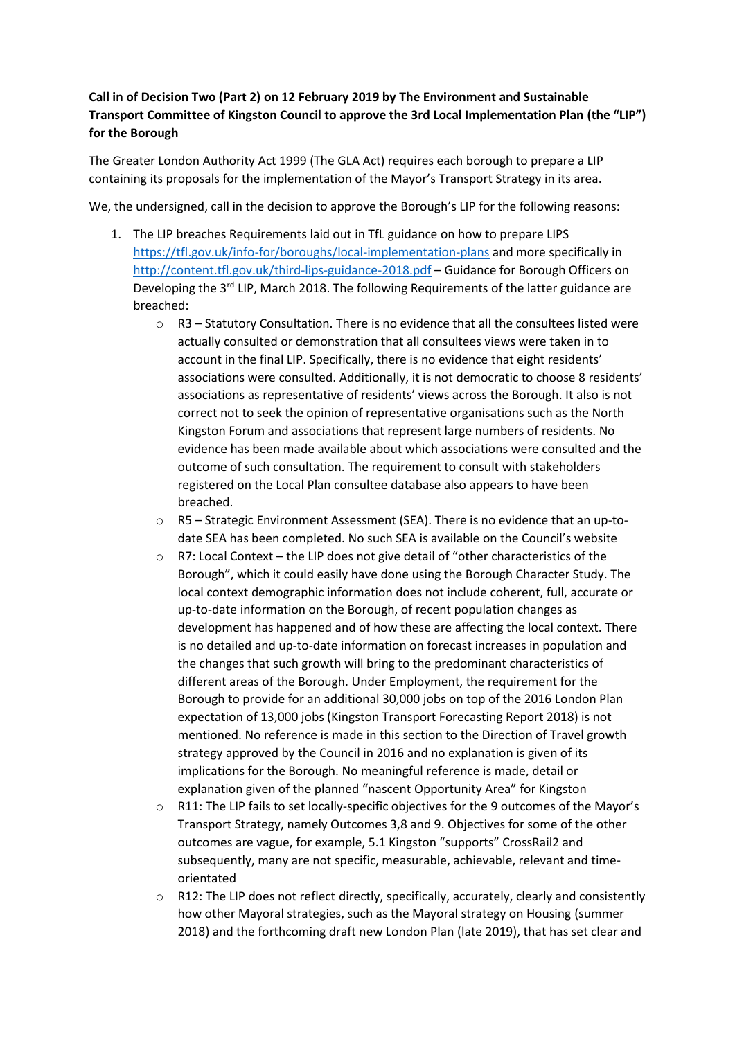## **Call in of Decision Two (Part 2) on 12 February 2019 by The Environment and Sustainable Transport Committee of Kingston Council to approve the 3rd Local Implementation Plan (the "LIP") for the Borough**

The Greater London Authority Act 1999 (The GLA Act) requires each borough to prepare a LIP containing its proposals for the implementation of the Mayor's Transport Strategy in its area.

We, the undersigned, call in the decision to approve the Borough's LIP for the following reasons:

- 1. The LIP breaches Requirements laid out in TfL guidance on how to prepare LIPS <https://tfl.gov.uk/info-for/boroughs/local-implementation-plans> and more specifically in <http://content.tfl.gov.uk/third-lips-guidance-2018.pdf> – Guidance for Borough Officers on Developing the  $3<sup>rd</sup>$  LIP, March 2018. The following Requirements of the latter guidance are breached:
	- o R3 Statutory Consultation. There is no evidence that all the consultees listed were actually consulted or demonstration that all consultees views were taken in to account in the final LIP. Specifically, there is no evidence that eight residents' associations were consulted. Additionally, it is not democratic to choose 8 residents' associations as representative of residents' views across the Borough. It also is not correct not to seek the opinion of representative organisations such as the North Kingston Forum and associations that represent large numbers of residents. No evidence has been made available about which associations were consulted and the outcome of such consultation. The requirement to consult with stakeholders registered on the Local Plan consultee database also appears to have been breached.
	- $\circ$  R5 Strategic Environment Assessment (SEA). There is no evidence that an up-todate SEA has been completed. No such SEA is available on the Council's website
	- o R7: Local Context the LIP does not give detail of "other characteristics of the Borough", which it could easily have done using the Borough Character Study. The local context demographic information does not include coherent, full, accurate or up-to-date information on the Borough, of recent population changes as development has happened and of how these are affecting the local context. There is no detailed and up-to-date information on forecast increases in population and the changes that such growth will bring to the predominant characteristics of different areas of the Borough. Under Employment, the requirement for the Borough to provide for an additional 30,000 jobs on top of the 2016 London Plan expectation of 13,000 jobs (Kingston Transport Forecasting Report 2018) is not mentioned. No reference is made in this section to the Direction of Travel growth strategy approved by the Council in 2016 and no explanation is given of its implications for the Borough. No meaningful reference is made, detail or explanation given of the planned "nascent Opportunity Area" for Kingston
	- o R11: The LIP fails to set locally-specific objectives for the 9 outcomes of the Mayor's Transport Strategy, namely Outcomes 3,8 and 9. Objectives for some of the other outcomes are vague, for example, 5.1 Kingston "supports" CrossRail2 and subsequently, many are not specific, measurable, achievable, relevant and timeorientated
	- R12: The LIP does not reflect directly, specifically, accurately, clearly and consistently how other Mayoral strategies, such as the Mayoral strategy on Housing (summer 2018) and the forthcoming draft new London Plan (late 2019), that has set clear and